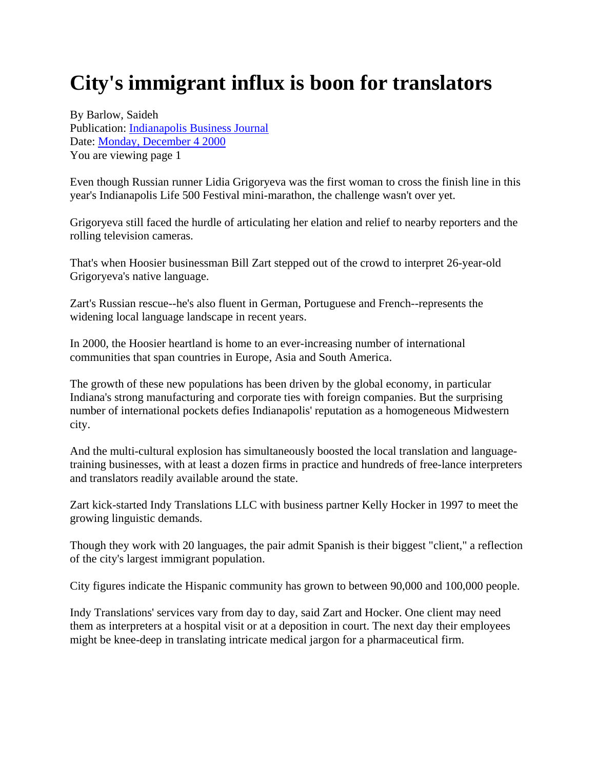## **City's immigrant influx is boon for translators**

By Barlow, Saideh Publication: Indianapolis Business Journal Date: Monday, December 4 2000 You are viewing page 1

Even though Russian runner Lidia Grigoryeva was the first woman to cross the finish line in this year's Indianapolis Life 500 Festival mini-marathon, the challenge wasn't over yet.

Grigoryeva still faced the hurdle of articulating her elation and relief to nearby reporters and the rolling television cameras.

That's when Hoosier businessman Bill Zart stepped out of the crowd to interpret 26-year-old Grigoryeva's native language.

Zart's Russian rescue--he's also fluent in German, Portuguese and French--represents the widening local language landscape in recent years.

In 2000, the Hoosier heartland is home to an ever-increasing number of international communities that span countries in Europe, Asia and South America.

The growth of these new populations has been driven by the global economy, in particular Indiana's strong manufacturing and corporate ties with foreign companies. But the surprising number of international pockets defies Indianapolis' reputation as a homogeneous Midwestern city.

And the multi-cultural explosion has simultaneously boosted the local translation and languagetraining businesses, with at least a dozen firms in practice and hundreds of free-lance interpreters and translators readily available around the state.

Zart kick-started Indy Translations LLC with business partner Kelly Hocker in 1997 to meet the growing linguistic demands.

Though they work with 20 languages, the pair admit Spanish is their biggest "client," a reflection of the city's largest immigrant population.

City figures indicate the Hispanic community has grown to between 90,000 and 100,000 people.

Indy Translations' services vary from day to day, said Zart and Hocker. One client may need them as interpreters at a hospital visit or at a deposition in court. The next day their employees might be knee-deep in translating intricate medical jargon for a pharmaceutical firm.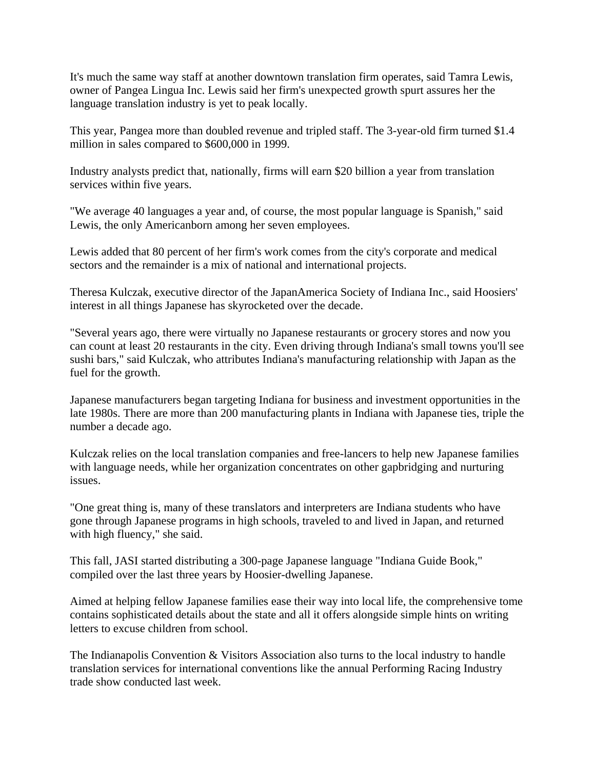It's much the same way staff at another downtown translation firm operates, said Tamra Lewis, owner of Pangea Lingua Inc. Lewis said her firm's unexpected growth spurt assures her the language translation industry is yet to peak locally.

This year, Pangea more than doubled revenue and tripled staff. The 3-year-old firm turned \$1.4 million in sales compared to \$600,000 in 1999.

Industry analysts predict that, nationally, firms will earn \$20 billion a year from translation services within five years.

"We average 40 languages a year and, of course, the most popular language is Spanish," said Lewis, the only Americanborn among her seven employees.

Lewis added that 80 percent of her firm's work comes from the city's corporate and medical sectors and the remainder is a mix of national and international projects.

Theresa Kulczak, executive director of the JapanAmerica Society of Indiana Inc., said Hoosiers' interest in all things Japanese has skyrocketed over the decade.

"Several years ago, there were virtually no Japanese restaurants or grocery stores and now you can count at least 20 restaurants in the city. Even driving through Indiana's small towns you'll see sushi bars," said Kulczak, who attributes Indiana's manufacturing relationship with Japan as the fuel for the growth.

Japanese manufacturers began targeting Indiana for business and investment opportunities in the late 1980s. There are more than 200 manufacturing plants in Indiana with Japanese ties, triple the number a decade ago.

Kulczak relies on the local translation companies and free-lancers to help new Japanese families with language needs, while her organization concentrates on other gapbridging and nurturing issues.

"One great thing is, many of these translators and interpreters are Indiana students who have gone through Japanese programs in high schools, traveled to and lived in Japan, and returned with high fluency," she said.

This fall, JASI started distributing a 300-page Japanese language "Indiana Guide Book," compiled over the last three years by Hoosier-dwelling Japanese.

Aimed at helping fellow Japanese families ease their way into local life, the comprehensive tome contains sophisticated details about the state and all it offers alongside simple hints on writing letters to excuse children from school.

The Indianapolis Convention & Visitors Association also turns to the local industry to handle translation services for international conventions like the annual Performing Racing Industry trade show conducted last week.